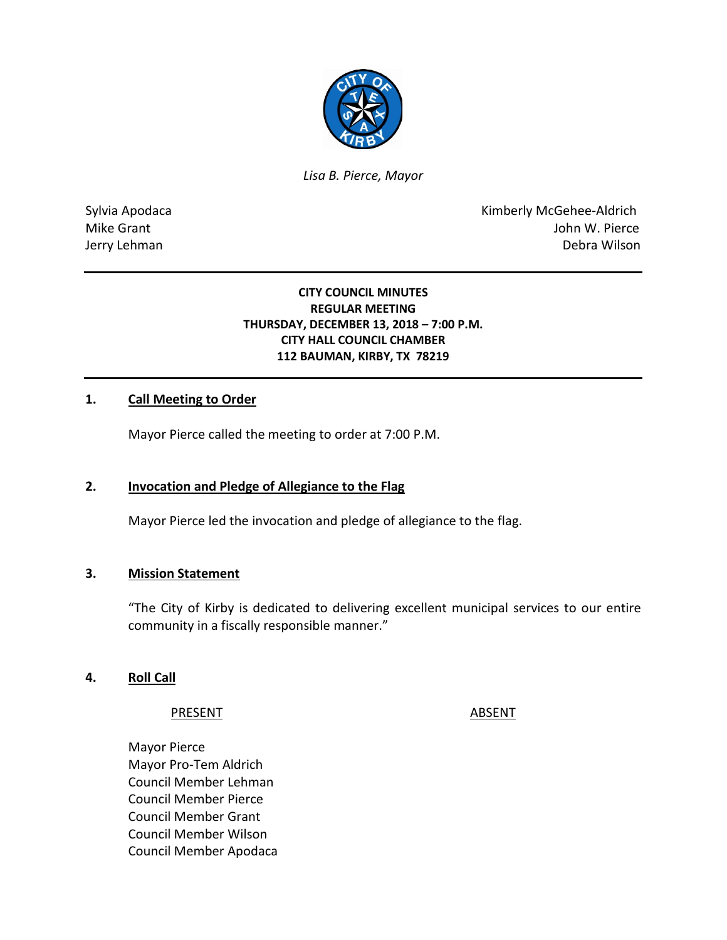

*Lisa B. Pierce, Mayor* 

Sylvia Apodaca **Kimberly McGehee-Aldrich** Mike Grant **Mike Grant** John W. Pierce Jerry Lehman Debra Wilson

### **CITY COUNCIL MINUTES REGULAR MEETING THURSDAY, DECEMBER 13, 2018 – 7:00 P.M. CITY HALL COUNCIL CHAMBER 112 BAUMAN, KIRBY, TX 78219**

### **1. Call Meeting to Order**

Mayor Pierce called the meeting to order at 7:00 P.M.

### **2. Invocation and Pledge of Allegiance to the Flag**

Mayor Pierce led the invocation and pledge of allegiance to the flag.

#### **3. Mission Statement**

"The City of Kirby is dedicated to delivering excellent municipal services to our entire community in a fiscally responsible manner."

#### **4. Roll Call**

#### PRESENT ABSENT

Mayor Pierce Mayor Pro-Tem Aldrich Council Member Lehman Council Member Pierce Council Member Grant Council Member Wilson Council Member Apodaca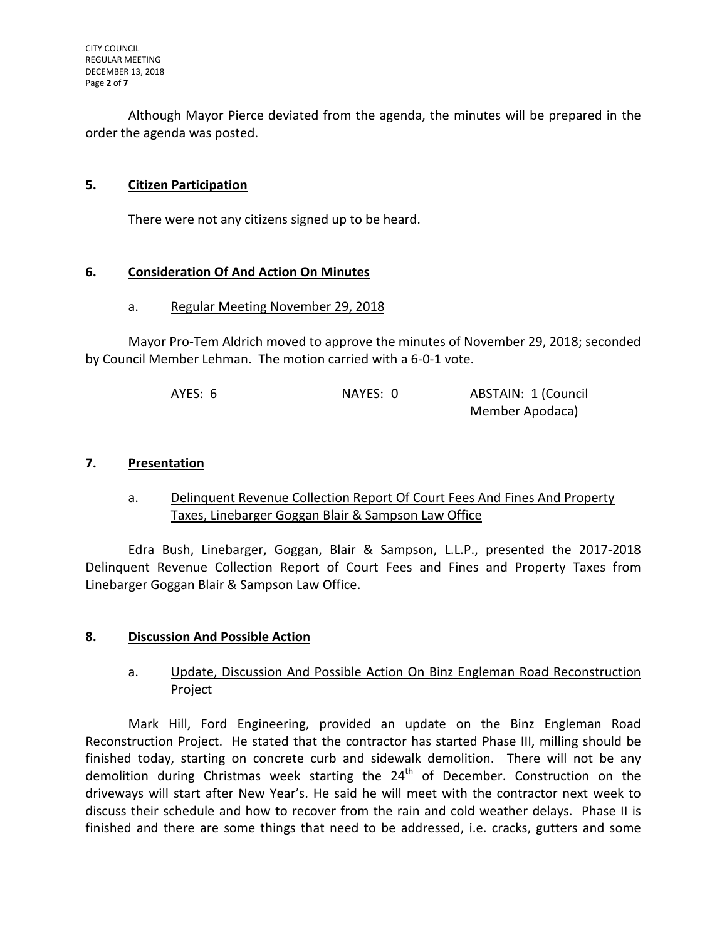Although Mayor Pierce deviated from the agenda, the minutes will be prepared in the order the agenda was posted.

## **5. Citizen Participation**

There were not any citizens signed up to be heard.

### **6. Consideration Of And Action On Minutes**

#### a. Regular Meeting November 29, 2018

Mayor Pro-Tem Aldrich moved to approve the minutes of November 29, 2018; seconded by Council Member Lehman. The motion carried with a 6-0-1 vote.

| AYES: 6 | NAYES: 0 | ABSTAIN: 1 (Council |
|---------|----------|---------------------|
|         |          | Member Apodaca)     |

### **7. Presentation**

a. Delinquent Revenue Collection Report Of Court Fees And Fines And Property Taxes, Linebarger Goggan Blair & Sampson Law Office

Edra Bush, Linebarger, Goggan, Blair & Sampson, L.L.P., presented the 2017-2018 Delinquent Revenue Collection Report of Court Fees and Fines and Property Taxes from Linebarger Goggan Blair & Sampson Law Office.

### **8. Discussion And Possible Action**

## a. Update, Discussion And Possible Action On Binz Engleman Road Reconstruction Project

Mark Hill, Ford Engineering, provided an update on the Binz Engleman Road Reconstruction Project. He stated that the contractor has started Phase III, milling should be finished today, starting on concrete curb and sidewalk demolition. There will not be any demolition during Christmas week starting the  $24<sup>th</sup>$  of December. Construction on the driveways will start after New Year's. He said he will meet with the contractor next week to discuss their schedule and how to recover from the rain and cold weather delays. Phase II is finished and there are some things that need to be addressed, i.e. cracks, gutters and some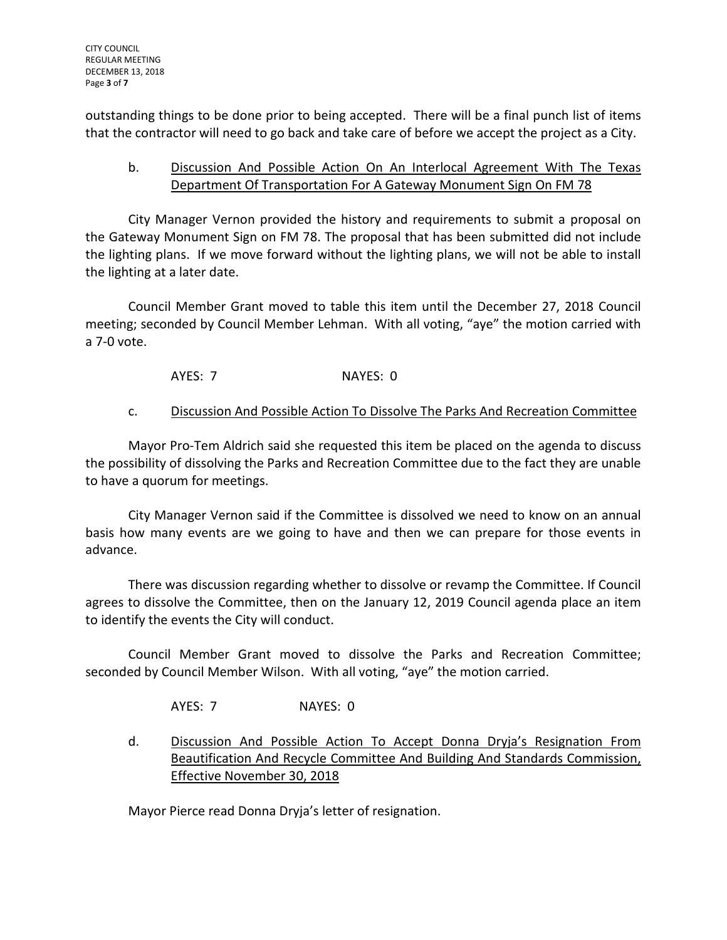outstanding things to be done prior to being accepted. There will be a final punch list of items that the contractor will need to go back and take care of before we accept the project as a City.

# b. Discussion And Possible Action On An Interlocal Agreement With The Texas Department Of Transportation For A Gateway Monument Sign On FM 78

City Manager Vernon provided the history and requirements to submit a proposal on the Gateway Monument Sign on FM 78. The proposal that has been submitted did not include the lighting plans. If we move forward without the lighting plans, we will not be able to install the lighting at a later date.

Council Member Grant moved to table this item until the December 27, 2018 Council meeting; seconded by Council Member Lehman. With all voting, "aye" the motion carried with a 7-0 vote.

AYES: 7 NAYES: 0

## c. Discussion And Possible Action To Dissolve The Parks And Recreation Committee

Mayor Pro-Tem Aldrich said she requested this item be placed on the agenda to discuss the possibility of dissolving the Parks and Recreation Committee due to the fact they are unable to have a quorum for meetings.

City Manager Vernon said if the Committee is dissolved we need to know on an annual basis how many events are we going to have and then we can prepare for those events in advance.

There was discussion regarding whether to dissolve or revamp the Committee. If Council agrees to dissolve the Committee, then on the January 12, 2019 Council agenda place an item to identify the events the City will conduct.

Council Member Grant moved to dissolve the Parks and Recreation Committee; seconded by Council Member Wilson. With all voting, "aye" the motion carried.

AYES: 7 NAYES: 0

d. Discussion And Possible Action To Accept Donna Dryja's Resignation From Beautification And Recycle Committee And Building And Standards Commission, Effective November 30, 2018

Mayor Pierce read Donna Dryja's letter of resignation.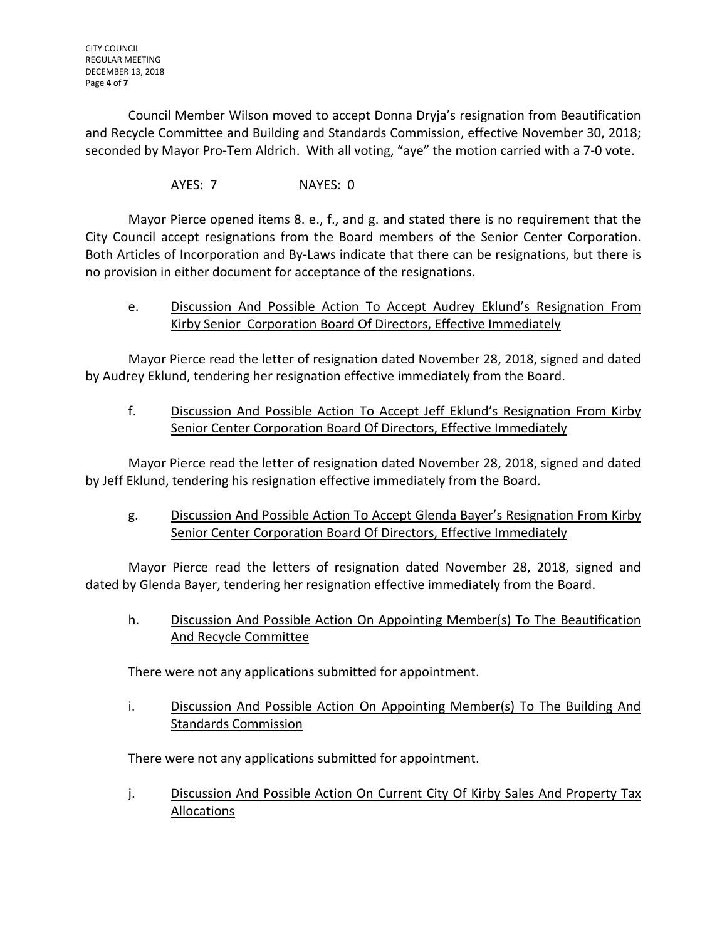Council Member Wilson moved to accept Donna Dryja's resignation from Beautification and Recycle Committee and Building and Standards Commission, effective November 30, 2018; seconded by Mayor Pro-Tem Aldrich. With all voting, "aye" the motion carried with a 7-0 vote.

AYES: 7 NAYES: 0

Mayor Pierce opened items 8. e., f., and g. and stated there is no requirement that the City Council accept resignations from the Board members of the Senior Center Corporation. Both Articles of Incorporation and By-Laws indicate that there can be resignations, but there is no provision in either document for acceptance of the resignations.

e. Discussion And Possible Action To Accept Audrey Eklund's Resignation From Kirby Senior Corporation Board Of Directors, Effective Immediately

Mayor Pierce read the letter of resignation dated November 28, 2018, signed and dated by Audrey Eklund, tendering her resignation effective immediately from the Board.

f. Discussion And Possible Action To Accept Jeff Eklund's Resignation From Kirby Senior Center Corporation Board Of Directors, Effective Immediately

Mayor Pierce read the letter of resignation dated November 28, 2018, signed and dated by Jeff Eklund, tendering his resignation effective immediately from the Board.

g. Discussion And Possible Action To Accept Glenda Bayer's Resignation From Kirby Senior Center Corporation Board Of Directors, Effective Immediately

Mayor Pierce read the letters of resignation dated November 28, 2018, signed and dated by Glenda Bayer, tendering her resignation effective immediately from the Board.

h. Discussion And Possible Action On Appointing Member(s) To The Beautification And Recycle Committee

There were not any applications submitted for appointment.

i. Discussion And Possible Action On Appointing Member(s) To The Building And Standards Commission

There were not any applications submitted for appointment.

j. Discussion And Possible Action On Current City Of Kirby Sales And Property Tax Allocations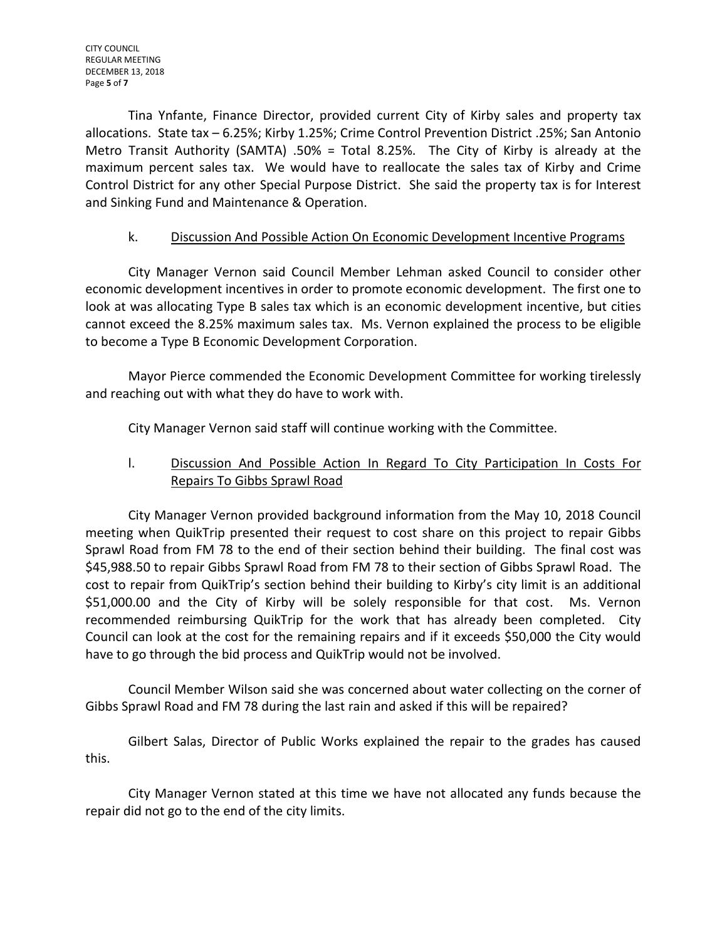Tina Ynfante, Finance Director, provided current City of Kirby sales and property tax allocations. State tax – 6.25%; Kirby 1.25%; Crime Control Prevention District .25%; San Antonio Metro Transit Authority (SAMTA) .50% = Total 8.25%. The City of Kirby is already at the maximum percent sales tax. We would have to reallocate the sales tax of Kirby and Crime Control District for any other Special Purpose District. She said the property tax is for Interest and Sinking Fund and Maintenance & Operation.

# k. Discussion And Possible Action On Economic Development Incentive Programs

City Manager Vernon said Council Member Lehman asked Council to consider other economic development incentives in order to promote economic development. The first one to look at was allocating Type B sales tax which is an economic development incentive, but cities cannot exceed the 8.25% maximum sales tax. Ms. Vernon explained the process to be eligible to become a Type B Economic Development Corporation.

Mayor Pierce commended the Economic Development Committee for working tirelessly and reaching out with what they do have to work with.

City Manager Vernon said staff will continue working with the Committee.

# l. Discussion And Possible Action In Regard To City Participation In Costs For Repairs To Gibbs Sprawl Road

City Manager Vernon provided background information from the May 10, 2018 Council meeting when QuikTrip presented their request to cost share on this project to repair Gibbs Sprawl Road from FM 78 to the end of their section behind their building. The final cost was \$45,988.50 to repair Gibbs Sprawl Road from FM 78 to their section of Gibbs Sprawl Road. The cost to repair from QuikTrip's section behind their building to Kirby's city limit is an additional \$51,000.00 and the City of Kirby will be solely responsible for that cost. Ms. Vernon recommended reimbursing QuikTrip for the work that has already been completed. City Council can look at the cost for the remaining repairs and if it exceeds \$50,000 the City would have to go through the bid process and QuikTrip would not be involved.

Council Member Wilson said she was concerned about water collecting on the corner of Gibbs Sprawl Road and FM 78 during the last rain and asked if this will be repaired?

Gilbert Salas, Director of Public Works explained the repair to the grades has caused this.

City Manager Vernon stated at this time we have not allocated any funds because the repair did not go to the end of the city limits.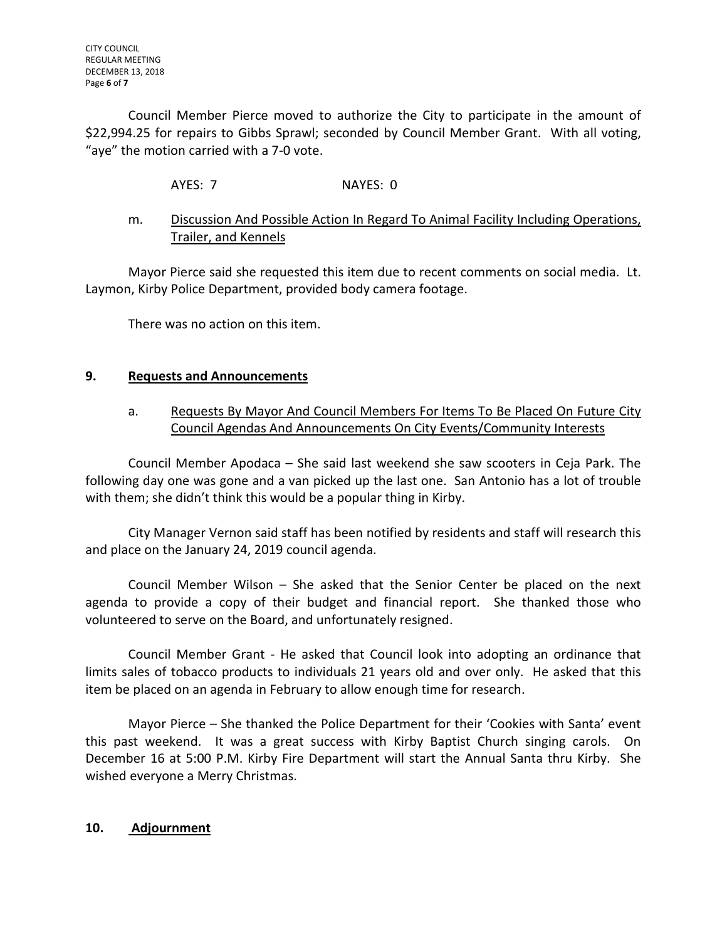Council Member Pierce moved to authorize the City to participate in the amount of \$22,994.25 for repairs to Gibbs Sprawl; seconded by Council Member Grant. With all voting, "aye" the motion carried with a 7-0 vote.

AYES: 7 NAYES: 0

# m. Discussion And Possible Action In Regard To Animal Facility Including Operations, Trailer, and Kennels

Mayor Pierce said she requested this item due to recent comments on social media. Lt. Laymon, Kirby Police Department, provided body camera footage.

There was no action on this item.

## **9. Requests and Announcements**

# a. Requests By Mayor And Council Members For Items To Be Placed On Future City Council Agendas And Announcements On City Events/Community Interests

Council Member Apodaca – She said last weekend she saw scooters in Ceja Park. The following day one was gone and a van picked up the last one. San Antonio has a lot of trouble with them; she didn't think this would be a popular thing in Kirby.

City Manager Vernon said staff has been notified by residents and staff will research this and place on the January 24, 2019 council agenda.

Council Member Wilson – She asked that the Senior Center be placed on the next agenda to provide a copy of their budget and financial report. She thanked those who volunteered to serve on the Board, and unfortunately resigned.

Council Member Grant - He asked that Council look into adopting an ordinance that limits sales of tobacco products to individuals 21 years old and over only. He asked that this item be placed on an agenda in February to allow enough time for research.

Mayor Pierce – She thanked the Police Department for their 'Cookies with Santa' event this past weekend. It was a great success with Kirby Baptist Church singing carols. On December 16 at 5:00 P.M. Kirby Fire Department will start the Annual Santa thru Kirby. She wished everyone a Merry Christmas.

### **10. Adjournment**